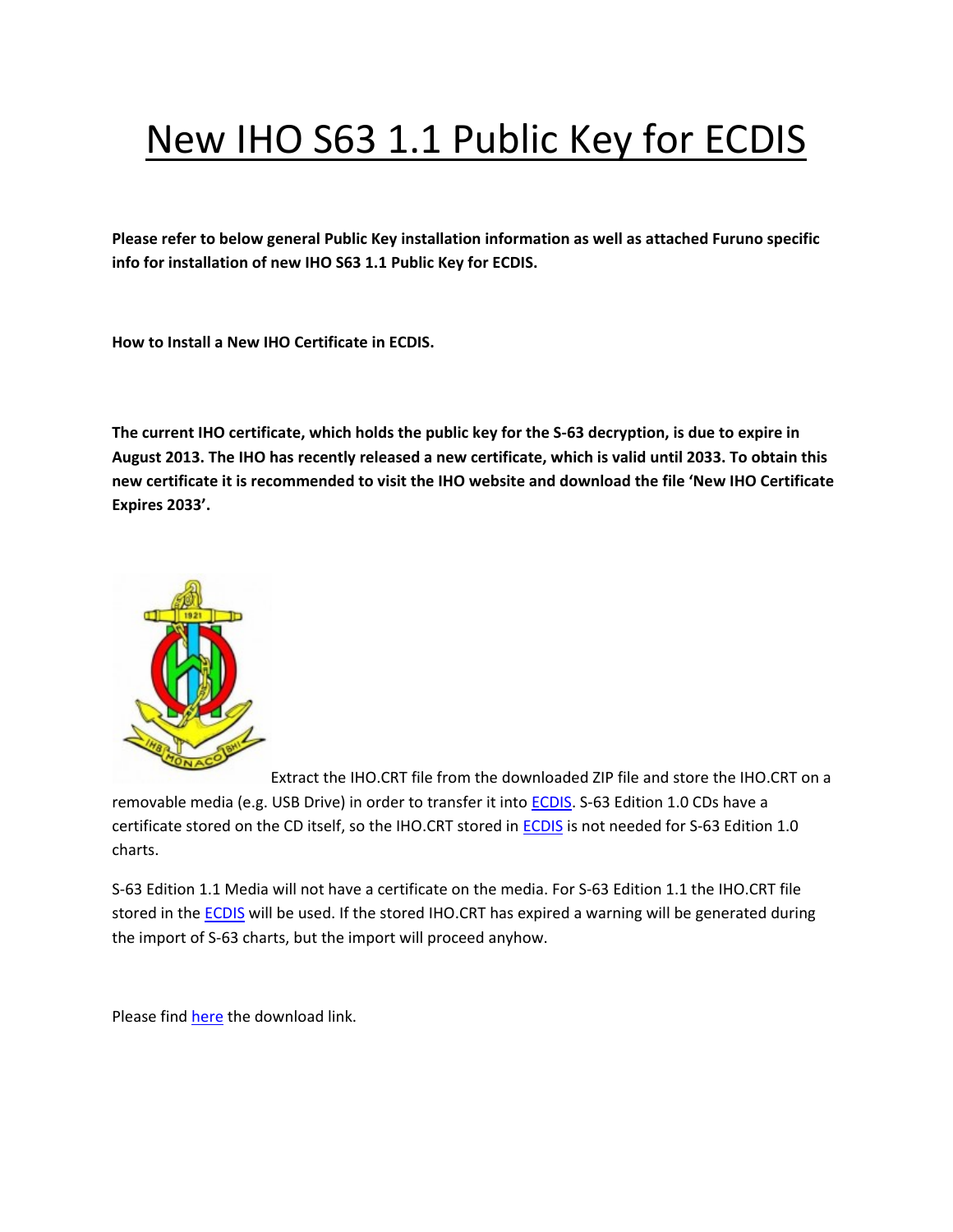## New IHO S63 1.1 Public Key for ECDIS

**Please refer to below general Public Key installation information as well as attached Furuno specific info for installation of new IHO S63 1.1 Public Key for ECDIS.** 

**How to Install a New IHO Certificate in ECDIS.**

**The current IHO certificate, which holds the public key for the S-63 decryption, is due to expire in August 2013. The IHO has recently released a new certificate, which is valid until 2033. To obtain this new certificate it is recommended to visit the IHO website and download the file 'New IHO Certificate Expires 2033'.**



Extract the IHO.CRT file from the downloaded ZIP file and store the IHO.CRT on a removable media (e.g. USB Drive) in order to transfer it into [ECDIS.](http://www.enav-international.com/search/index.php?action=go&query=ECDIS) S-63 Edition 1.0 CDs have a certificate stored on the CD itself, so the IHO.CRT stored in [ECDIS](http://www.enav-international.com/search/index.php?action=go&query=ECDIS) is not needed for S-63 Edition 1.0 charts.

S-63 Edition 1.1 Media will not have a certificate on the media. For S-63 Edition 1.1 the IHO.CRT file stored in the **[ECDIS](http://www.enav-international.com/search/index.php?action=go&query=ECDIS)** will be used. If the stored IHO.CRT has expired a warning will be generated during the import of S-63 charts, but the import will proceed anyhow.

Please find [here](http://www.iho.int/iho_pubs/standard/S-63/S-63_SA_Certificate.htm) the download link.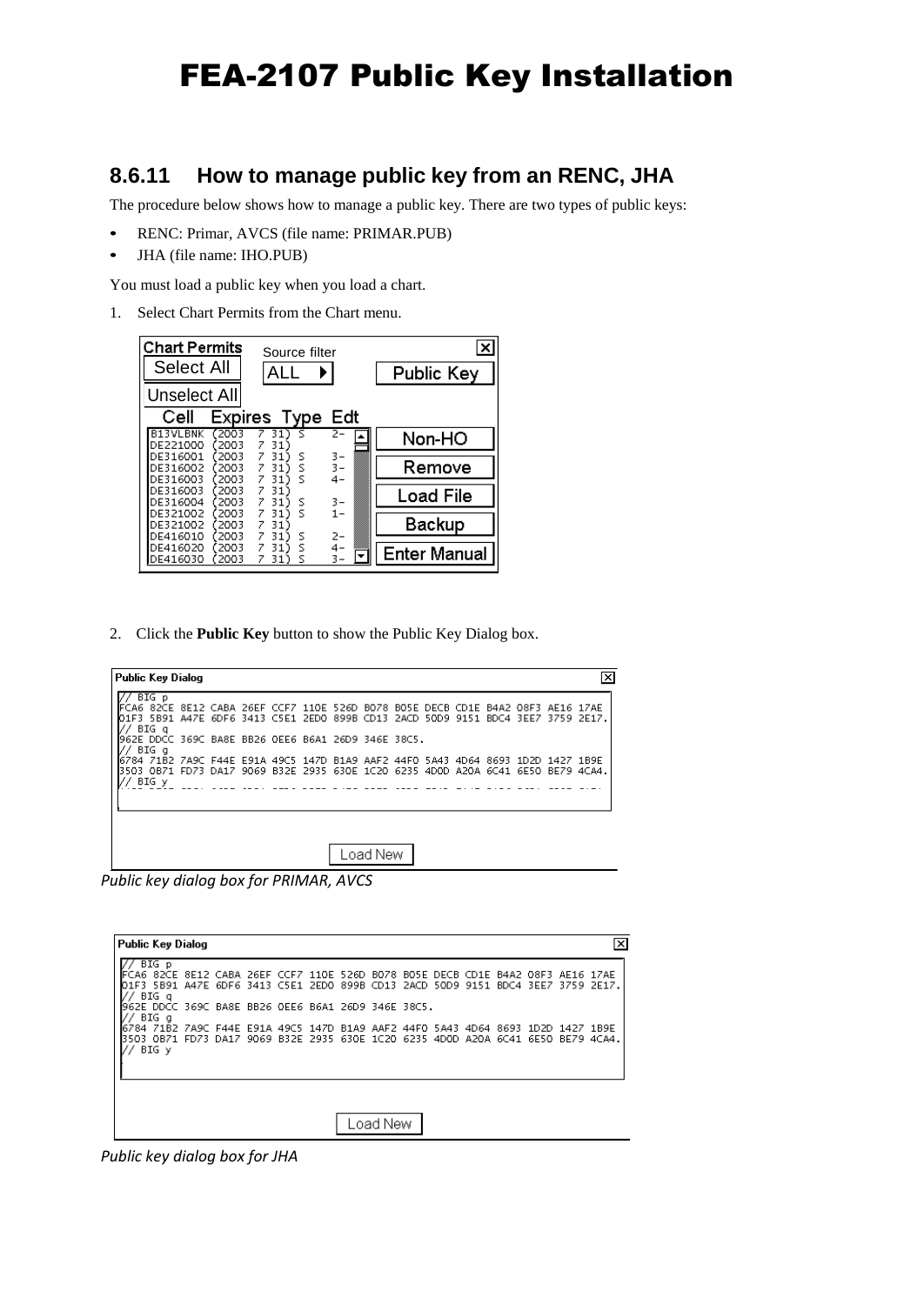## FEA-2107 Public Key Installation

## **8.6.11 How to manage public key from an RENC, JHA**

The procedure below shows how to manage a public key. There are two types of public keys:

- RENC: Primar, AVCS (file name: PRIMAR.PUB)
- JHA (file name: IHO.PUB)

You must load a public key when you load a chart.

1. Select Chart Permits from the Chart menu.

| <b>Chart Permits</b> |               | Source filter                 |                 | $\overline{\mathbf{x}}$ |
|----------------------|---------------|-------------------------------|-----------------|-------------------------|
| <b>Select All</b>    |               | ALL                           |                 | Public Key              |
| Unselect All         |               |                               |                 |                         |
| Cell                 |               | <b>Expires Type Edt</b>       |                 |                         |
| B13VLBNK<br>DE221000 | 2003<br>2003  | 31<br>31                      |                 | Non-HO                  |
| DE316001<br>DE316002 | 2003<br>(2003 | 31<br>s<br>7<br>s<br>31)<br>7 | 3 –<br>3-       | Remove                  |
| DE316003<br>DE316003 | 2003<br>2003  | ς<br>7<br>31<br>7<br>31       | $4-$            |                         |
| DE316004<br>DE321002 | 2003<br>2003  | 31<br>7<br>s<br>ς<br>31<br>7  | $\frac{3}{1}$ - | <b>Load File</b>        |
| DE321002<br>DE416010 | 2003<br>2003  | 31<br>31<br>7<br>s            | 2-              | <b>Backup</b>           |
| DE416020<br>DE416030 | 2003<br>(2003 | S<br>31)<br>7<br>ς<br>31      |                 | Enter Manual            |

2. Click the **Public Key** button to show the Public Key Dialog box.

| <b>Public Key Dialog</b>                                                                                                                                              |  |  |  |         |  |  |  | × |
|-----------------------------------------------------------------------------------------------------------------------------------------------------------------------|--|--|--|---------|--|--|--|---|
| $BIG$ p<br>FCA6 82CE 8E12 CABA 26EF CCF7 110E 526D B078 B05E DECB CD1E B4A2 08F3 AE16 17AE                                                                            |  |  |  |         |  |  |  |   |
| 01F3 5B91 A47E 6DF6 3413 C5E1 2ED0 899B CD13 2ACD 50D9 9151 BDC4 3EE7 3759 2E17.<br>BIG a                                                                             |  |  |  |         |  |  |  |   |
| 962E DDCC 369C BA8E BB26 OEE6 B6A1 26D9 346E 38C5.<br>BIG a                                                                                                           |  |  |  |         |  |  |  |   |
| 16784 71B2 7A9C F44E E91A 49C5 147D B1A9 AAF2 44F0 5A43 4D64 8693 1D2D 1427 1B9E<br>13503 0B71 FD73 DA17 9069 B32E 2935 630E 1C20 6235 4DOD A20A 6C41 6E50 BE79 4CA4. |  |  |  |         |  |  |  |   |
| BIG Y                                                                                                                                                                 |  |  |  |         |  |  |  |   |
|                                                                                                                                                                       |  |  |  |         |  |  |  |   |
|                                                                                                                                                                       |  |  |  |         |  |  |  |   |
|                                                                                                                                                                       |  |  |  | oad New |  |  |  |   |

*Public key dialog box for PRIMAR, AVCS*

| <b>Public Key Dialog</b>                                                                                                                                                              |  |  |  |          |  |  |                                                                        |           | $\boldsymbol{\mathsf{x}}$ |
|---------------------------------------------------------------------------------------------------------------------------------------------------------------------------------------|--|--|--|----------|--|--|------------------------------------------------------------------------|-----------|---------------------------|
| BIG p<br>FCA6 82CE 8E12 CABA 26EF CCF7 110E 526D B078 B05E DECB CD1E B4A2 08F3 AE16 17AE<br>01F3 5B91 A47E 6DF6 3413 C5E1 2ED0 899B CD13 2ACD 50D9 9151 BDC4 3EE7 3759 2E17.<br>BIG a |  |  |  |          |  |  |                                                                        |           |                           |
| 1962E DDCC 369C BA8E BB26 OEE6 B6A1 26D9 346E 38C5.<br>BIG a                                                                                                                          |  |  |  |          |  |  |                                                                        |           |                           |
| 6784 71B2 7A9C F44E E91A 49C5 147D B1A9 AAF2 44F0 5A43 4D64 8693 1D2D<br>B503 OB71<br>BIG v                                                                                           |  |  |  |          |  |  | FD73 DA17 9069 B32E 2935 630E 1C20 6235 4D0D A20A 6C41 6E50 BE79 4CA4. | 1427 1B9E |                           |
|                                                                                                                                                                                       |  |  |  | oad New. |  |  |                                                                        |           |                           |

*Public key dialog box for JHA*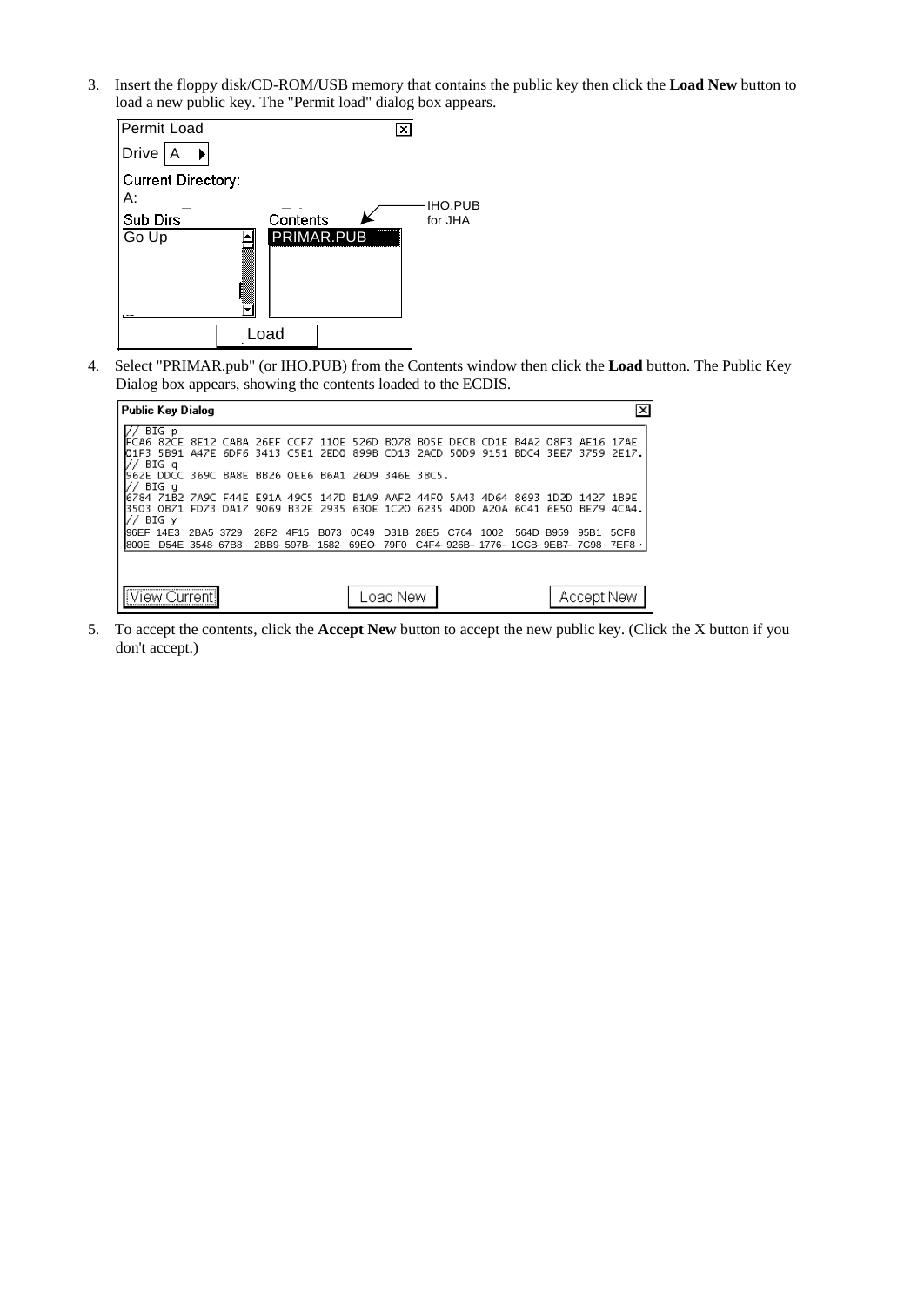3. Insert the floppy disk/CD-ROM/USB memory that contains the public key then click the **Load New** button to load a new public key. The "Permit load" dialog box appears.



4. Select "PRIMAR.pub" (or IHO.PUB) from the Contents window then click the **Load** button. The Public Key Dialog box appears, showing the contents loaded to the ECDIS.

|          | <b>Public Key Dialog</b> |                                                                                                                                                                      |           |      |                                       |          |                          |      |           |            | $\vert x \vert$   |
|----------|--------------------------|----------------------------------------------------------------------------------------------------------------------------------------------------------------------|-----------|------|---------------------------------------|----------|--------------------------|------|-----------|------------|-------------------|
|          | BIG p<br>BIG a           | IFCA6 82CE 8E12 CABA 26EF CCF7 110E 526D B078 B05E DECB CD1E B4A2 08F3 AE16 17AE<br>01F3 5B91 A47E 6DF6 3413 C5E1 2EDO                                               |           |      | 899B                                  |          | CD13 2ACD 50D9           | 9151 | BDC4 3EEZ |            | 3759 2F17.        |
|          | BIG a                    | 1962E DDCC 369C BA8E BB26 OEE6 B6A1 26D9 346E 38C5.                                                                                                                  |           |      |                                       |          |                          |      |           |            |                   |
| // BIG v |                          | 16784 71B2 7A9C F44E E91A 49C5 147D B1A9 AAF2 44F0 5A43 4D64 8693 1D2D 1427 1B9E<br>3503 0B71 FD73 DA17 9069 B32E 2935 630E 1C20 6235 4D0D A20A 6C41 6E50 BE79 4CA4. |           |      |                                       |          |                          |      |           |            |                   |
| 800E     | 196EF 14E3 2BA5 3729     | D54E 3548 67B8 2BB9 597B                                                                                                                                             | 28F2 4F15 | 1582 | B073 0C49 D31B 28E5 C764<br>69EO 79F0 |          | C4F4 926B 1776 1CCB 9EB7 | 1002 | 564D B959 | 95B1       | 5CF8<br>7C98 7EF8 |
|          |                          |                                                                                                                                                                      |           |      |                                       | .oad New |                          |      |           | Accept New |                   |

5. To accept the contents, click the **Accept New** button to accept the new public key. (Click the X button if you don't accept.)